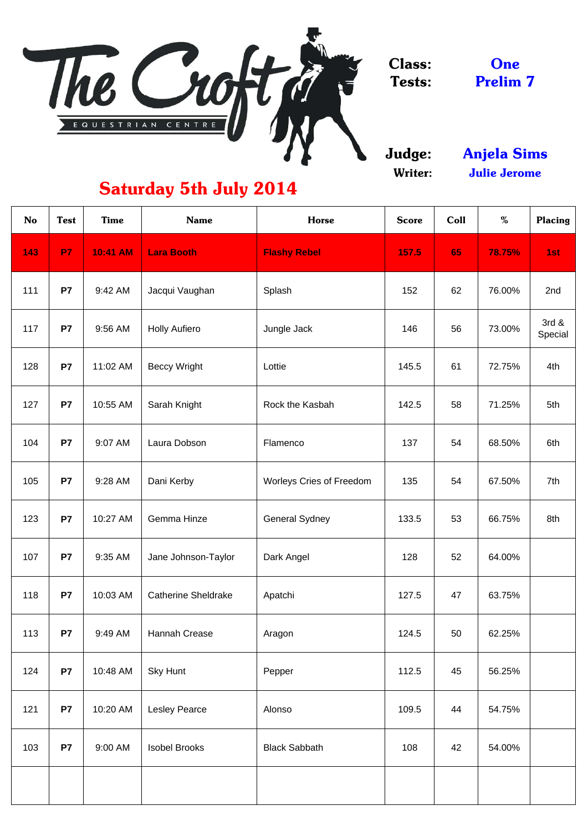

Judge: Writer:

**One** Prelim 7

| <b>No</b> | <b>Test</b> | <b>Time</b>     | <b>Name</b>                | <b>Horse</b>                    | <b>Score</b> | Coll | %      | <b>Placing</b>   |
|-----------|-------------|-----------------|----------------------------|---------------------------------|--------------|------|--------|------------------|
| 143       | <b>P7</b>   | <b>10:41 AM</b> | <b>Lara Booth</b>          | <b>Flashy Rebel</b>             | 157.5        | 65   | 78.75% | 1st              |
| 111       | <b>P7</b>   | 9:42 AM         | Jacqui Vaughan             | Splash                          | 152          | 62   | 76.00% | 2nd              |
| 117       | P7          | 9:56 AM         | <b>Holly Aufiero</b>       | Jungle Jack                     | 146          | 56   | 73.00% | 3rd &<br>Special |
| 128       | <b>P7</b>   | 11:02 AM        | <b>Beccy Wright</b>        | Lottie                          | 145.5        | 61   | 72.75% | 4th              |
| 127       | <b>P7</b>   | 10:55 AM        | Sarah Knight               | Rock the Kasbah                 | 142.5        | 58   | 71.25% | 5th              |
| 104       | <b>P7</b>   | 9:07 AM         | Laura Dobson               | Flamenco                        | 137          | 54   | 68.50% | 6th              |
| 105       | <b>P7</b>   | 9:28 AM         | Dani Kerby                 | <b>Worleys Cries of Freedom</b> | 135          | 54   | 67.50% | 7th              |
| 123       | P7          | 10:27 AM        | Gemma Hinze                | <b>General Sydney</b>           | 133.5        | 53   | 66.75% | 8th              |
| 107       | <b>P7</b>   | 9:35 AM         | Jane Johnson-Taylor        | Dark Angel                      | 128          | 52   | 64.00% |                  |
| 118       | <b>P7</b>   | 10:03 AM        | <b>Catherine Sheldrake</b> | Apatchi                         | 127.5        | 47   | 63.75% |                  |
| 113       | <b>P7</b>   | 9:49 AM         | Hannah Crease              | Aragon                          | 124.5        | 50   | 62.25% |                  |
| 124       | <b>P7</b>   | 10:48 AM        | <b>Sky Hunt</b>            | Pepper                          | 112.5        | 45   | 56.25% |                  |
| 121       | <b>P7</b>   | 10:20 AM        | <b>Lesley Pearce</b>       | Alonso                          | 109.5        | 44   | 54.75% |                  |
| 103       | <b>P7</b>   | 9:00 AM         | <b>Isobel Brooks</b>       | <b>Black Sabbath</b>            | 108          | 42   | 54.00% |                  |
|           |             |                 |                            |                                 |              |      |        |                  |

Anjela Sims Julie Jerome

# Saturday 5th July 2014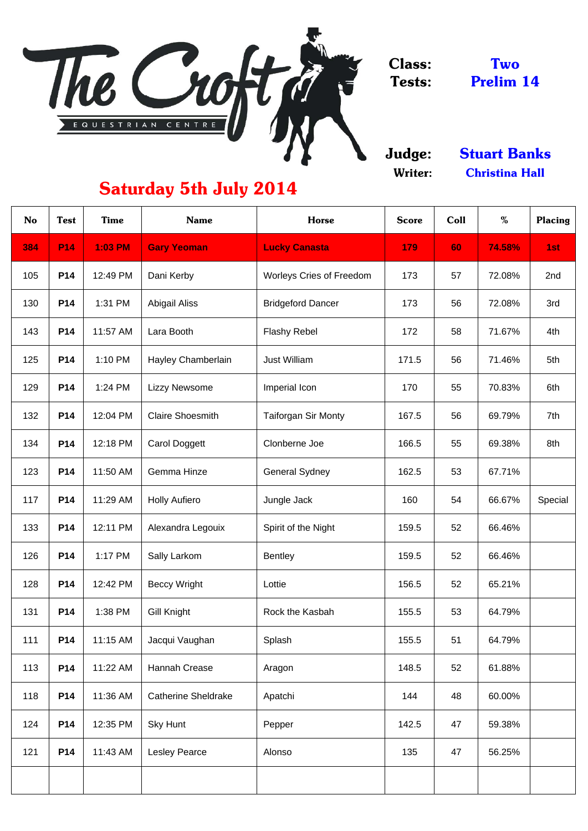

Judge: Writer:

| <b>No</b> | <b>Test</b> | <b>Time</b>    | <b>Name</b>                | <b>Horse</b>                    | <b>Score</b> | Coll | %      | <b>Placing</b> |
|-----------|-------------|----------------|----------------------------|---------------------------------|--------------|------|--------|----------------|
| 384       | <b>P14</b>  | <b>1:03 PM</b> | <b>Gary Yeoman</b>         | <b>Lucky Canasta</b>            | 179          | 60   | 74.58% | 1st            |
| 105       | <b>P14</b>  | 12:49 PM       | Dani Kerby                 | <b>Worleys Cries of Freedom</b> | 173          | 57   | 72.08% | 2nd            |
| 130       | <b>P14</b>  | 1:31 PM        | <b>Abigail Aliss</b>       | <b>Bridgeford Dancer</b>        | 173          | 56   | 72.08% | 3rd            |
| 143       | <b>P14</b>  | 11:57 AM       | Lara Booth                 | <b>Flashy Rebel</b>             | 172          | 58   | 71.67% | 4th            |
| 125       | <b>P14</b>  | 1:10 PM        | Hayley Chamberlain         | <b>Just William</b>             | 171.5        | 56   | 71.46% | 5th            |
| 129       | <b>P14</b>  | 1:24 PM        | <b>Lizzy Newsome</b>       | Imperial Icon                   | 170          | 55   | 70.83% | 6th            |
| 132       | <b>P14</b>  | 12:04 PM       | <b>Claire Shoesmith</b>    | <b>Taiforgan Sir Monty</b>      | 167.5        | 56   | 69.79% | 7th            |
| 134       | <b>P14</b>  | 12:18 PM       | <b>Carol Doggett</b>       | Clonberne Joe                   | 166.5        | 55   | 69.38% | 8th            |
| 123       | <b>P14</b>  | 11:50 AM       | Gemma Hinze                | <b>General Sydney</b>           | 162.5        | 53   | 67.71% |                |
| 117       | <b>P14</b>  | 11:29 AM       | <b>Holly Aufiero</b>       | Jungle Jack                     | 160          | 54   | 66.67% | Special        |
| 133       | <b>P14</b>  | 12:11 PM       | Alexandra Legouix          | Spirit of the Night             | 159.5        | 52   | 66.46% |                |
| 126       | <b>P14</b>  | 1:17 PM        | Sally Larkom               | <b>Bentley</b>                  | 159.5        | 52   | 66.46% |                |
| 128       | <b>P14</b>  | 12:42 PM       | <b>Beccy Wright</b>        | Lottie                          | 156.5        | 52   | 65.21% |                |
| 131       | <b>P14</b>  | 1:38 PM        | <b>Gill Knight</b>         | Rock the Kasbah                 | 155.5        | 53   | 64.79% |                |
| 111       | <b>P14</b>  | 11:15 AM       | Jacqui Vaughan             | Splash                          | 155.5        | 51   | 64.79% |                |
| 113       | <b>P14</b>  | 11:22 AM       | <b>Hannah Crease</b>       | Aragon                          | 148.5        | 52   | 61.88% |                |
| 118       | <b>P14</b>  | 11:36 AM       | <b>Catherine Sheldrake</b> | Apatchi                         | 144          | 48   | 60.00% |                |
| 124       | <b>P14</b>  | 12:35 PM       | <b>Sky Hunt</b>            | Pepper                          | 142.5        | 47   | 59.38% |                |
| 121       | <b>P14</b>  | 11:43 AM       | <b>Lesley Pearce</b>       | Alonso                          | 135          | 47   | 56.25% |                |
|           |             |                |                            |                                 |              |      |        |                |

Two Prelim 14

# Saturday 5th July 2014

Christina Hall Stuart Banks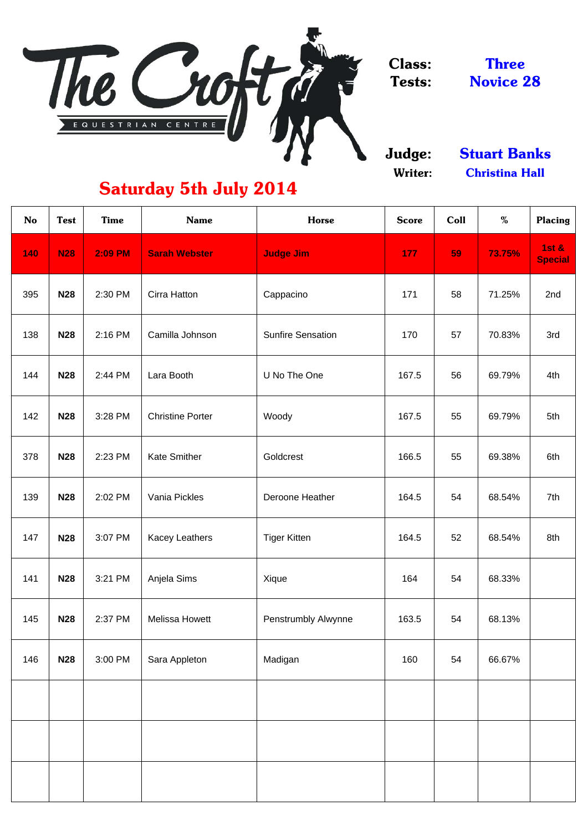

Judge: Writer:

| <b>No</b> | <b>Test</b> | <b>Time</b>    | <b>Name</b>             | <b>Horse</b>               | <b>Score</b> | Coll | %      | <b>Placing</b>                     |
|-----------|-------------|----------------|-------------------------|----------------------------|--------------|------|--------|------------------------------------|
| 140       | <b>N28</b>  | <b>2:09 PM</b> | <b>Sarah Webster</b>    | <b>Judge Jim</b>           | 177          | 59   | 73.75% | <b>1st &amp;</b><br><b>Special</b> |
| 395       | <b>N28</b>  | 2:30 PM        | <b>Cirra Hatton</b>     | Cappacino                  | 171          | 58   | 71.25% | 2nd                                |
| 138       | <b>N28</b>  | 2:16 PM        | Camilla Johnson         | <b>Sunfire Sensation</b>   | 170          | 57   | 70.83% | 3rd                                |
| 144       | <b>N28</b>  | 2:44 PM        | Lara Booth              | U No The One               | 167.5        | 56   | 69.79% | 4th                                |
| 142       | <b>N28</b>  | 3:28 PM        | <b>Christine Porter</b> | Woody                      | 167.5        | 55   | 69.79% | 5th                                |
| 378       | <b>N28</b>  | 2:23 PM        | <b>Kate Smither</b>     | Goldcrest                  | 166.5        | 55   | 69.38% | 6th                                |
| 139       | <b>N28</b>  | 2:02 PM        | Vania Pickles           | Deroone Heather            | 164.5        | 54   | 68.54% | 7th                                |
| 147       | <b>N28</b>  | 3:07 PM        | <b>Kacey Leathers</b>   | <b>Tiger Kitten</b>        | 164.5        | 52   | 68.54% | 8th                                |
| 141       | <b>N28</b>  | 3:21 PM        | Anjela Sims             | Xique                      | 164          | 54   | 68.33% |                                    |
| 145       | <b>N28</b>  | 2:37 PM        | <b>Melissa Howett</b>   | <b>Penstrumbly Alwynne</b> | 163.5        | 54   | 68.13% |                                    |
| 146       | <b>N28</b>  | 3:00 PM        | Sara Appleton           | Madigan                    | 160          | 54   | 66.67% |                                    |
|           |             |                |                         |                            |              |      |        |                                    |
|           |             |                |                         |                            |              |      |        |                                    |
|           |             |                |                         |                            |              |      |        |                                    |

# Saturday 5th July 2014

Novice 28 Three

Christina Hall Stuart Banks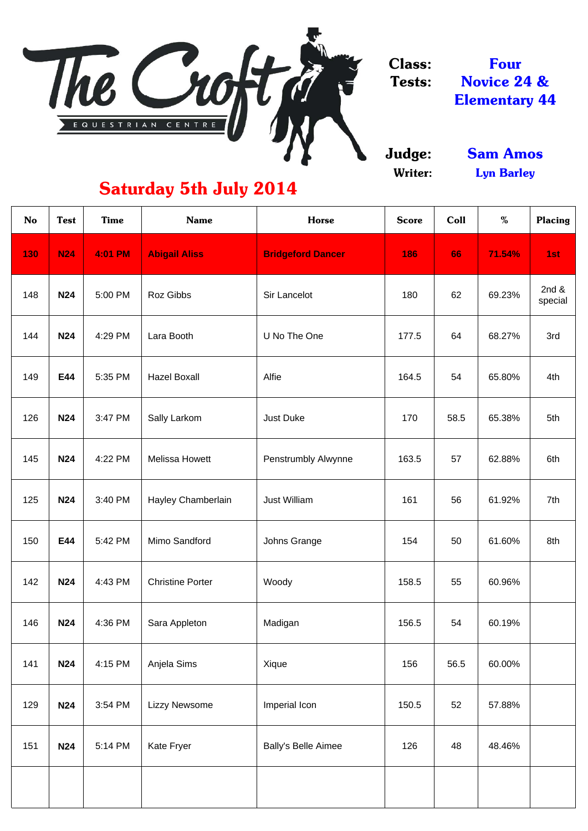

Judge: Writer:

| <b>No</b> | <b>Test</b> | <b>Time</b>    | <b>Name</b>             | <b>Horse</b>               | <b>Score</b> | Coll | %      | <b>Placing</b>      |
|-----------|-------------|----------------|-------------------------|----------------------------|--------------|------|--------|---------------------|
| 130       | <b>N24</b>  | <b>4:01 PM</b> | <b>Abigail Aliss</b>    | <b>Bridgeford Dancer</b>   | 186          | 66   | 71.54% | 1st                 |
| 148       | <b>N24</b>  | 5:00 PM        | Roz Gibbs               | <b>Sir Lancelot</b>        | 180          | 62   | 69.23% | 2 $nd &$<br>special |
| 144       | <b>N24</b>  | 4:29 PM        | Lara Booth              | U No The One               | 177.5        | 64   | 68.27% | 3rd                 |
| 149       | E44         | 5:35 PM        | <b>Hazel Boxall</b>     | Alfie                      | 164.5        | 54   | 65.80% | 4th                 |
| 126       | <b>N24</b>  | 3:47 PM        | Sally Larkom            | <b>Just Duke</b>           | 170          | 58.5 | 65.38% | 5th                 |
| 145       | <b>N24</b>  | 4:22 PM        | <b>Melissa Howett</b>   | <b>Penstrumbly Alwynne</b> | 163.5        | 57   | 62.88% | 6th                 |
| 125       | <b>N24</b>  | 3:40 PM        | Hayley Chamberlain      | <b>Just William</b>        | 161          | 56   | 61.92% | 7th                 |
| 150       | E44         | 5:42 PM        | Mimo Sandford           | Johns Grange               | 154          | 50   | 61.60% | 8th                 |
| 142       | <b>N24</b>  | 4:43 PM        | <b>Christine Porter</b> | Woody                      | 158.5        | 55   | 60.96% |                     |
| 146       | <b>N24</b>  | 4:36 PM        | Sara Appleton           | Madigan                    | 156.5        | 54   | 60.19% |                     |
| 141       | <b>N24</b>  | 4:15 PM        | Anjela Sims             | Xique                      | 156          | 56.5 | 60.00% |                     |
| 129       | <b>N24</b>  | 3:54 PM        | <b>Lizzy Newsome</b>    | Imperial Icon              | 150.5        | 52   | 57.88% |                     |
| 151       | <b>N24</b>  | 5:14 PM        | <b>Kate Fryer</b>       | <b>Bally's Belle Aimee</b> | 126          | 48   | 48.46% |                     |
|           |             |                |                         |                            |              |      |        |                     |

Novice 24 & Elementary 44 Four

# Saturday 5th July 2014

Lyn Barley Sam Amos